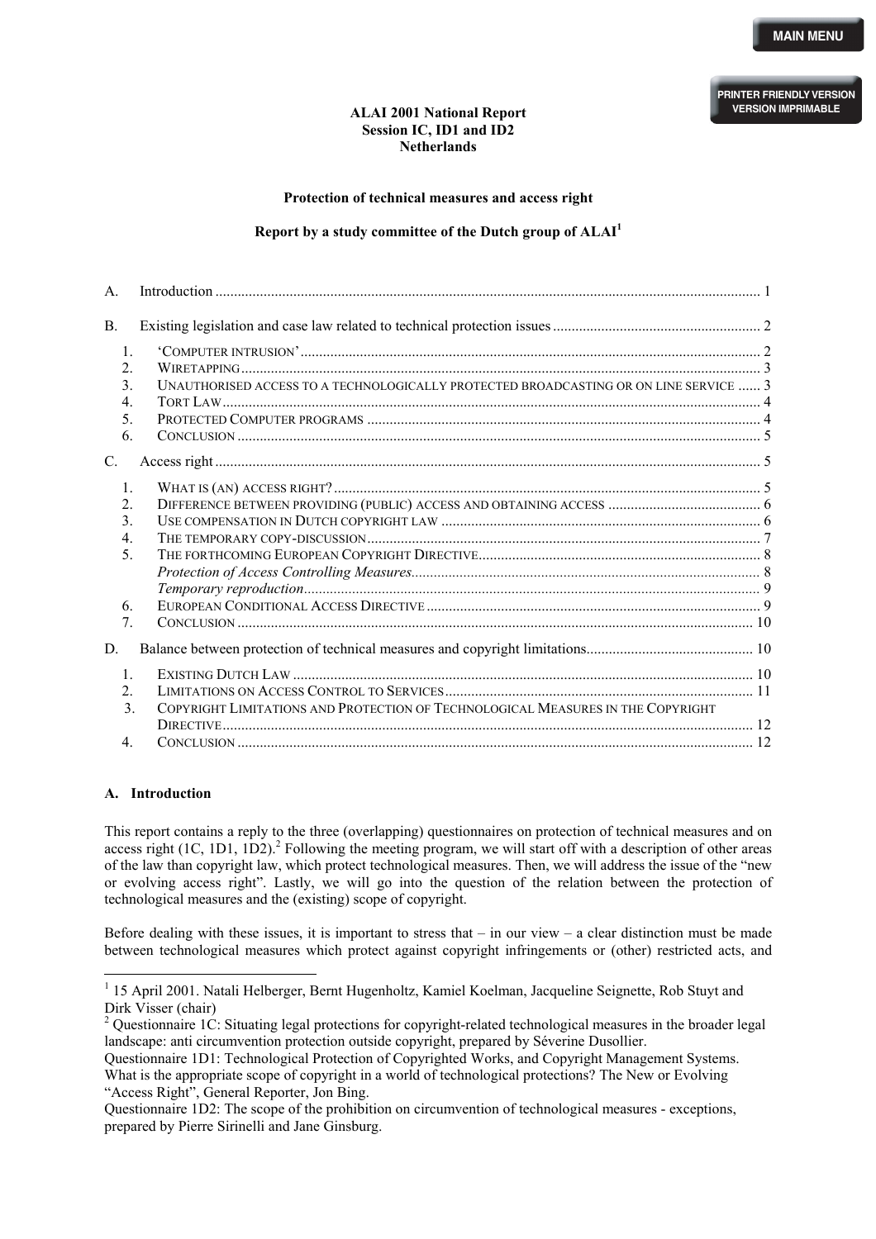#### **ALAI 2001 National Report Session IC, ID1 and ID2 Netherlands**

**Protection of technical measures and access right** 

## **Report by a study committee of the Dutch group of ALA[I1](#page-0-0)**

<span id="page-0-2"></span>

| A.                               |                                                                                       |  |
|----------------------------------|---------------------------------------------------------------------------------------|--|
| <b>B.</b>                        |                                                                                       |  |
| $\mathbf{1}$ .                   |                                                                                       |  |
| $\overline{2}$                   | $WIRETAPPING$ 3                                                                       |  |
| 3.                               | UNAUTHORISED ACCESS TO A TECHNOLOGICALLY PROTECTED BROADCASTING OR ON LINE SERVICE  3 |  |
| $\overline{4}$ .                 |                                                                                       |  |
| 5.                               |                                                                                       |  |
| 6.                               |                                                                                       |  |
| $C_{\cdot}$                      |                                                                                       |  |
| $\mathbf{1}$                     |                                                                                       |  |
| $\overline{2}$                   |                                                                                       |  |
| 3.                               |                                                                                       |  |
| $\overline{4}$ .                 |                                                                                       |  |
| 5.                               |                                                                                       |  |
|                                  |                                                                                       |  |
|                                  |                                                                                       |  |
| 6.                               |                                                                                       |  |
| $7_{\scriptscriptstyle{\ddots}}$ |                                                                                       |  |
| D.                               |                                                                                       |  |
| $\mathbf{1}$                     |                                                                                       |  |
| $\overline{2}$                   |                                                                                       |  |
| $\mathcal{E}$                    | COPYRIGHT LIMITATIONS AND PROTECTION OF TECHNOLOGICAL MEASURES IN THE COPYRIGHT       |  |
|                                  |                                                                                       |  |
| 4.                               |                                                                                       |  |

## **A. Introduction**

 $\overline{a}$ 

This report contains a reply to the three (overlapping) questionnaires on protection of technical measures and on accessright  $(1C, 1D1, 1D2)$ .<sup>2</sup> Following the meeting program, we will start off with a description of other areas of the law than copyright law, which protect technological measures. Then, we will address the issue of the "new or evolving access right". Lastly, we will go into the question of the relation between the protection of technological measures and the (existing) scope of copyright.

Before dealing with these issues, it is important to stress that  $-$  in our view  $-$  a clear distinction must be made between technological measures which protect against copyright infringements or (other) restricted acts, and

<span id="page-0-0"></span><sup>&</sup>lt;sup>1</sup> 15 April 2001. Natali Helberger, Bernt Hugenholtz, Kamiel Koelman, Jacqueline Seignette, Rob Stuyt and Dirk Visser (chair)

<span id="page-0-1"></span><sup>&</sup>lt;sup>2</sup> Questionnaire 1C: Situating legal protections for copyright-related technological measures in the broader legal landscape: anti circumvention protection outside copyright, prepared by Séverine Dusollier.

Questionnaire 1D1: Technological Protection of Copyrighted Works, and Copyright Management Systems. What is the appropriate scope of copyright in a world of technological protections? The New or Evolving "Access Right", General Reporter, Jon Bing.

Questionnaire 1D2: The scope of the prohibition on circumvention of technological measures - exceptions, prepared by Pierre Sirinelli and Jane Ginsburg.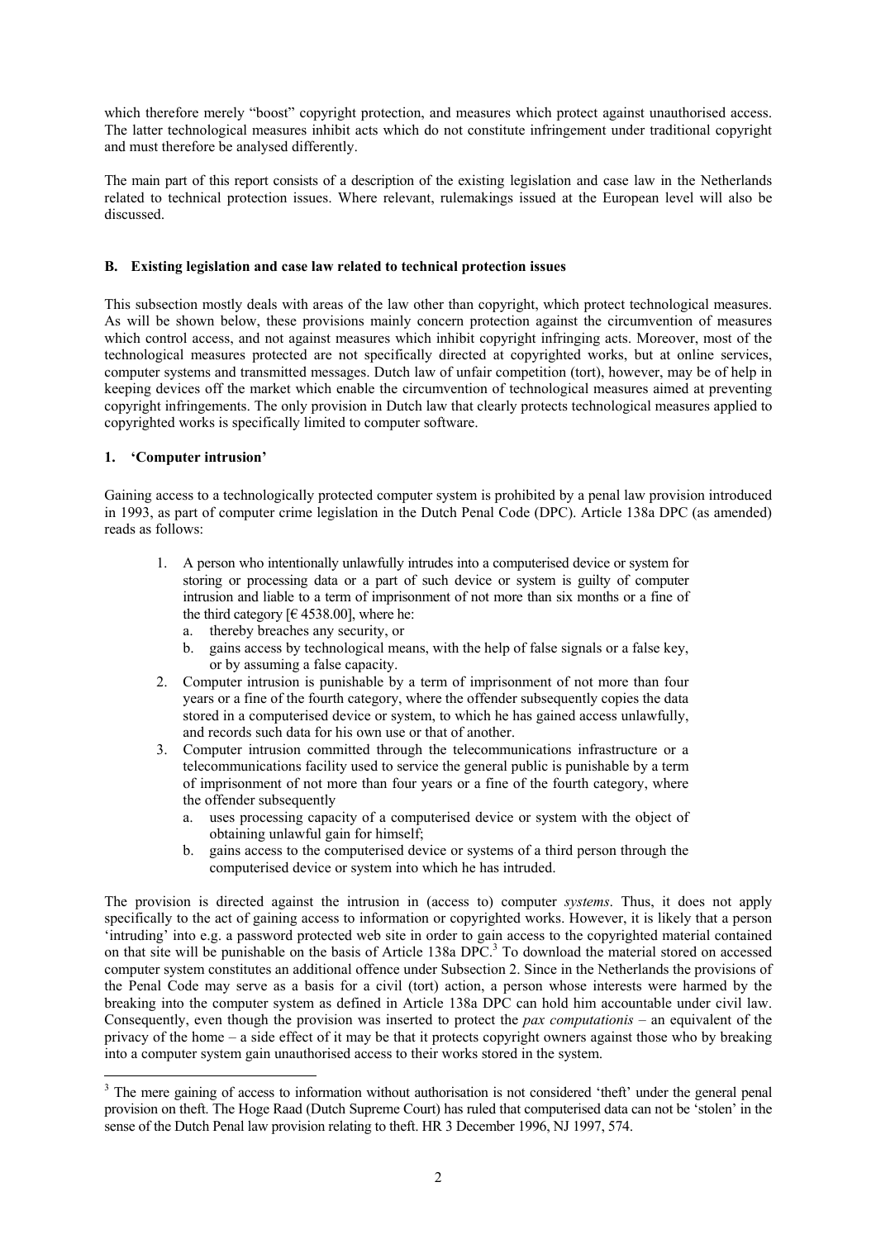<span id="page-1-0"></span>which therefore merely "boost" copyright protection, and measures which protect against unauthorised access. The latter technological measures inhibit acts which do not constitute infringement under traditional copyright and must therefore be analysed differently.

The main part of this report consists of a description of the existing legislation and case law in the Netherlands related to technical protection issues. Where relevant, rulemakings issued at the European level will also be discussed.

# **B. Existing legislation and case law related to technical protection issues**

This subsection mostly deals with areas of the law other than copyright, which protect technological measures. As will be shown below, these provisions mainly concern protection against the circumvention of measures which control access, and not against measures which inhibit copyright infringing acts. Moreover, most of the technological measures protected are not specifically directed at copyrighted works, but at online services, computer systems and transmitted messages. Dutch law of unfair competition (tort), however, may be of help in keeping devices off the market which enable the circumvention of technological measures aimed at preventing copyright infringements. The only provision in Dutch law that clearly protects technological measures applied to copyrighted works is specifically limited to computer software.

# **1. 'Computer intrusion'**

 $\overline{a}$ 

Gaining access to a technologically protected computer system is prohibited by a penal law provision introduced in 1993, as part of computer crime legislation in the Dutch Penal Code (DPC). Article 138a DPC (as amended) reads as follows:

- 1. A person who intentionally unlawfully intrudes into a computerised device or system for storing or processing data or a part of such device or system is guilty of computer intrusion and liable to a term of imprisonment of not more than six months or a fine of the third category  $[64538.00]$ , where he:
	- a. thereby breaches any security, or
	- b. gains access by technological means, with the help of false signals or a false key, or by assuming a false capacity.
- 2. Computer intrusion is punishable by a term of imprisonment of not more than four years or a fine of the fourth category, where the offender subsequently copies the data stored in a computerised device or system, to which he has gained access unlawfully, and records such data for his own use or that of another.
- 3. Computer intrusion committed through the telecommunications infrastructure or a telecommunications facility used to service the general public is punishable by a term of imprisonment of not more than four years or a fine of the fourth category, where the offender subsequently
	- a. uses processing capacity of a computerised device or system with the object of obtaining unlawful gain for himself;
	- b. gains access to the computerised device or systems of a third person through the computerised device or system into which he has intruded.

The provision is directed against the intrusion in (access to) computer *systems*. Thus, it does not apply specifically to the act of gaining access to information or copyrighted works. However, it is likely that a person 'intruding' into e.g. a password protected web site in order to gain access to the copyrighted material contained on that site will be punishable on the basis of Article 1[3](#page-1-1)8a DPC.<sup>3</sup> To download the material stored on accessed computer system constitutes an additional offence under Subsection 2. Since in the Netherlands the provisions of the Penal Code may serve as a basis for a civil (tort) action, a person whose interests were harmed by the breaking into the computer system as defined in Article 138a DPC can hold him accountable under civil law. Consequently, even though the provision was inserted to protect the *pax computationis* – an equivalent of the privacy of the home – a side effect of it may be that it protects copyright owners against those who by breaking into a computer system gain unauthorised access to their works stored in the system.

<span id="page-1-1"></span><sup>&</sup>lt;sup>3</sup> The mere gaining of access to information without authorisation is not considered 'theft' under the general penal provision on theft. The Hoge Raad (Dutch Supreme Court) has ruled that computerised data can not be 'stolen' in the sense of the Dutch Penal law provision relating to theft. HR 3 December 1996, NJ 1997, 574.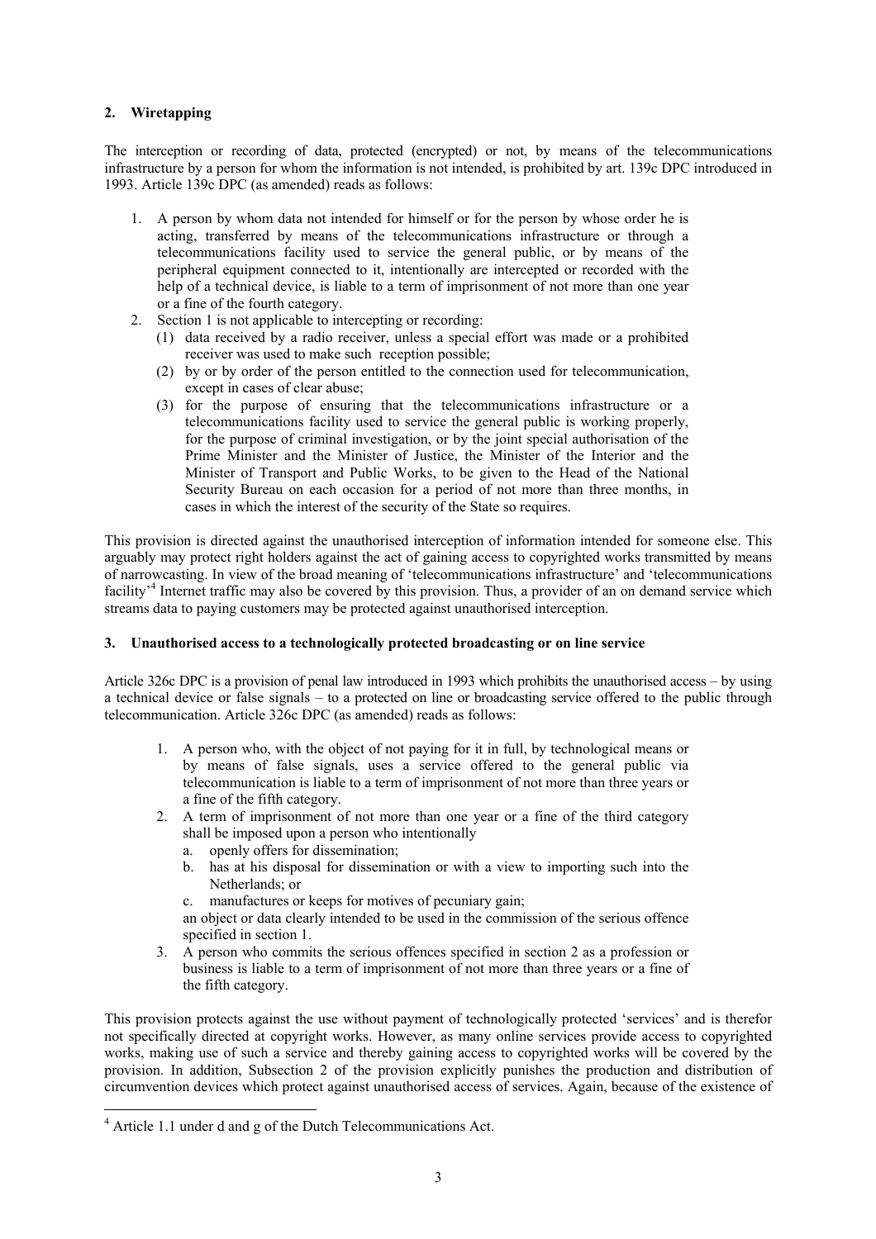# <span id="page-2-0"></span>**2. Wiretapping**

The interception or recording of data, protected (encrypted) or not, by means of the telecommunications infrastructure by a person for whom the information is not intended, is prohibited by art. 139c DPC introduced in 1993. Article 139c DPC (as amended) reads as follows:

- 1. A person by whom data not intended for himself or for the person by whose order he is acting, transferred by means of the telecommunications infrastructure or through a telecommunications facility used to service the general public, or by means of the peripheral equipment connected to it, intentionally are intercepted or recorded with the help of a technical device, is liable to a term of imprisonment of not more than one year or a fine of the fourth category.
- 2. Section 1 is not applicable to intercepting or recording:
	- (1) data received by a radio receiver, unless a special effort was made or a prohibited receiver was used to make such reception possible;
	- (2) by or by order of the person entitled to the connection used for telecommunication, except in cases of clear abuse;
	- (3) for the purpose of ensuring that the telecommunications infrastructure or a telecommunications facility used to service the general public is working properly, for the purpose of criminal investigation, or by the joint special authorisation of the Prime Minister and the Minister of Justice, the Minister of the Interior and the Minister of Transport and Public Works, to be given to the Head of the National Security Bureau on each occasion for a period of not more than three months, in cases in which the interest of the security of the State so requires.

This provision is directed against the unauthorised interception of information intended for someone else. This arguably may protect right holders against the act of gaining access to copyrighted works transmitted by means of narrowcasting. In view of the broad meaning of 'telecommunications infrastructure' and 'telecommunications facility'[4](#page-2-1) Internet traffic may also be covered by this provision. Thus, a provider of an on demand service which streams data to paying customers may be protected against unauthorised interception.

# **3. Unauthorised access to a technologically protected broadcasting or on line service**

Article 326c DPC is a provision of penal law introduced in 1993 which prohibits the unauthorised access – by using a technical device or false signals – to a protected on line or broadcasting service offered to the public through telecommunication. Article 326c DPC (as amended) reads as follows:

- 1. A person who, with the object of not paying for it in full, by technological means or by means of false signals, uses a service offered to the general public via telecommunication is liable to a term of imprisonment of not more than three years or a fine of the fifth category.
- 2. A term of imprisonment of not more than one year or a fine of the third category shall be imposed upon a person who intentionally
	- a. openly offers for dissemination;
	- b. has at his disposal for dissemination or with a view to importing such into the Netherlands; or
	- c. manufactures or keeps for motives of pecuniary gain;
	- an object or data clearly intended to be used in the commission of the serious offence specified in section 1.
- 3. A person who commits the serious offences specified in section 2 as a profession or business is liable to a term of imprisonment of not more than three years or a fine of the fifth category.

This provision protects against the use without payment of technologically protected 'services' and is therefor not specifically directed at copyright works. However, as many online services provide access to copyrighted works, making use of such a service and thereby gaining access to copyrighted works will be covered by the provision. In addition, Subsection 2 of the provision explicitly punishes the production and distribution of circumvention devices which protect against unauthorised access of services. Again, because of the existence of

 $\overline{a}$ 

<span id="page-2-1"></span><sup>&</sup>lt;sup>4</sup> Article 1.1 under d and g of the Dutch Telecommunications Act.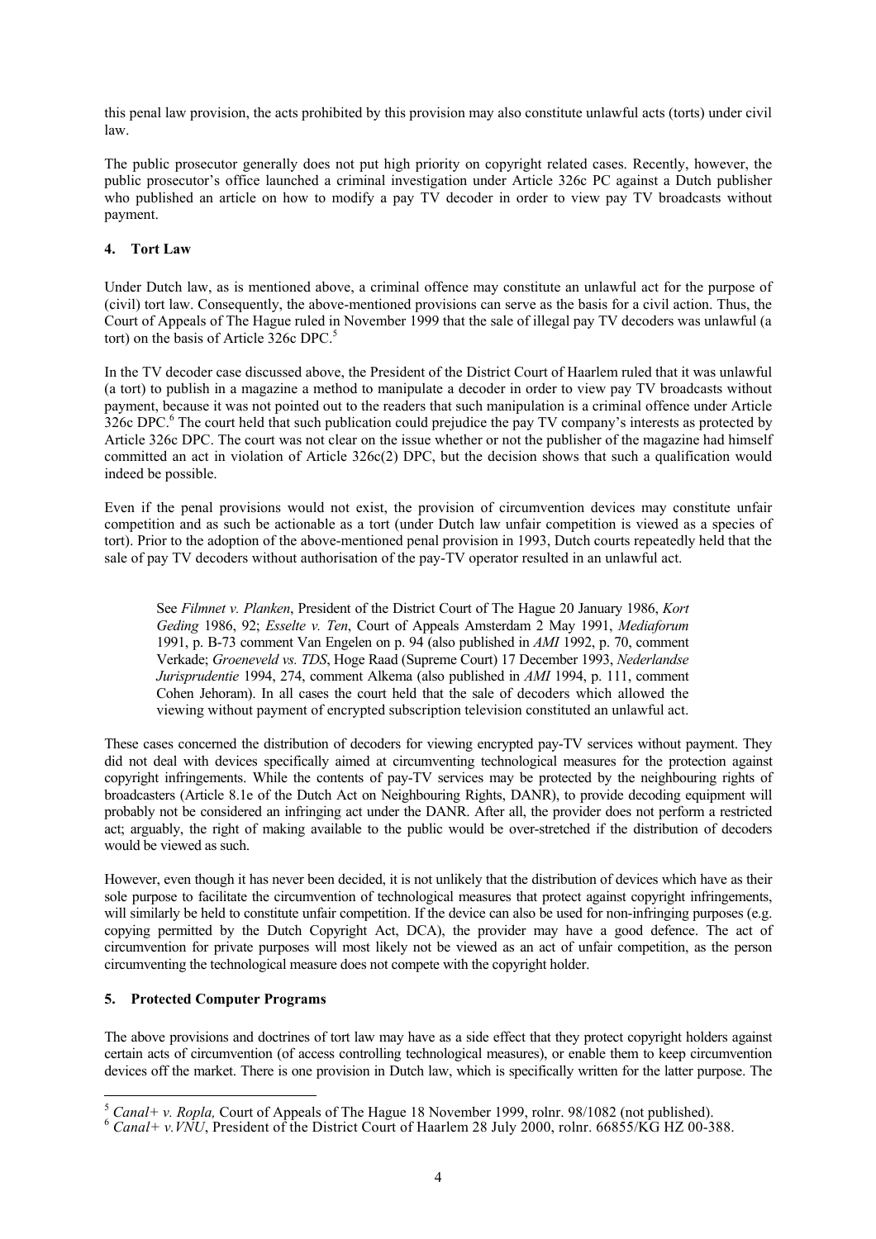<span id="page-3-0"></span>this penal law provision, the acts prohibited by this provision may also constitute unlawful acts (torts) under civil law.

The public prosecutor generally does not put high priority on copyright related cases. Recently, however, the public prosecutor's office launched a criminal investigation under Article 326c PC against a Dutch publisher who published an article on how to modify a pay TV decoder in order to view pay TV broadcasts without payment.

# **4. Tort Law**

Under Dutch law, as is mentioned above, a criminal offence may constitute an unlawful act for the purpose of (civil) tort law. Consequently, the above-mentioned provisions can serve as the basis for a civil action. Thus, the Court of Appeals of The Hague ruled in November 1999 that the sale of illegal pay TV decoders was unlawful (a tort) on the basis of Article 326c DPC. [5](#page-3-1)

In the TV decoder case discussed above, the President of the District Court of Haarlem ruled that it was unlawful (a tort) to publish in a magazine a method to manipulate a decoder in order to view pay TV broadcasts without payment, because it was not pointed out to the readers that such manipulation is a criminal offence under Article 326c DPC.<sup>6</sup> [T](#page-3-2)he court held that such publication could prejudice the pay TV company's interests as protected by Article 326c DPC. The court was not clear on the issue whether or not the publisher of the magazine had himself committed an act in violation of Article 326c(2) DPC, but the decision shows that such a qualification would indeed be possible.

Even if the penal provisions would not exist, the provision of circumvention devices may constitute unfair competition and as such be actionable as a tort (under Dutch law unfair competition is viewed as a species of tort). Prior to the adoption of the above-mentioned penal provision in 1993, Dutch courts repeatedly held that the sale of pay TV decoders without authorisation of the pay-TV operator resulted in an unlawful act.

See *Filmnet v. Planken*, President of the District Court of The Hague 20 January 1986, *Kort Geding* 1986, 92; *Esselte v. Ten*, Court of Appeals Amsterdam 2 May 1991, *Mediaforum* 1991, p. B-73 comment Van Engelen on p. 94 (also published in *AMI* 1992, p. 70, comment Verkade; *Groeneveld vs. TDS*, Hoge Raad (Supreme Court) 17 December 1993, *Nederlandse Jurisprudentie* 1994, 274, comment Alkema (also published in *AMI* 1994, p. 111, comment Cohen Jehoram). In all cases the court held that the sale of decoders which allowed the viewing without payment of encrypted subscription television constituted an unlawful act.

These cases concerned the distribution of decoders for viewing encrypted pay-TV services without payment. They did not deal with devices specifically aimed at circumventing technological measures for the protection against copyright infringements. While the contents of pay-TV services may be protected by the neighbouring rights of broadcasters (Article 8.1e of the Dutch Act on Neighbouring Rights, DANR), to provide decoding equipment will probably not be considered an infringing act under the DANR. After all, the provider does not perform a restricted act; arguably, the right of making available to the public would be over-stretched if the distribution of decoders would be viewed as such.

However, even though it has never been decided, it is not unlikely that the distribution of devices which have as their sole purpose to facilitate the circumvention of technological measures that protect against copyright infringements, will similarly be held to constitute unfair competition. If the device can also be used for non-infringing purposes (e.g. copying permitted by the Dutch Copyright Act, DCA), the provider may have a good defence. The act of circumvention for private purposes will most likely not be viewed as an act of unfair competition, as the person circumventing the technological measure does not compete with the copyright holder.

## **5. Protected Computer Programs**

The above provisions and doctrines of tort law may have as a side effect that they protect copyright holders against certain acts of circumvention (of access controlling technological measures), or enable them to keep circumvention devices off the market. There is one provision in Dutch law, which is specifically written for the latter purpose. The

<span id="page-3-1"></span> $\overline{a}$ <sup>5</sup> *Canal+ v. Ropla, Court of Appeals of The Hague 18 November 1999, rolnr. 98/1082 (not published).* <sup>6</sup> *Canal+ v.VNU*, President of the District Court of Haarlem 28 July 2000, rolnr. 66855/KG HZ 00-388.

<span id="page-3-2"></span>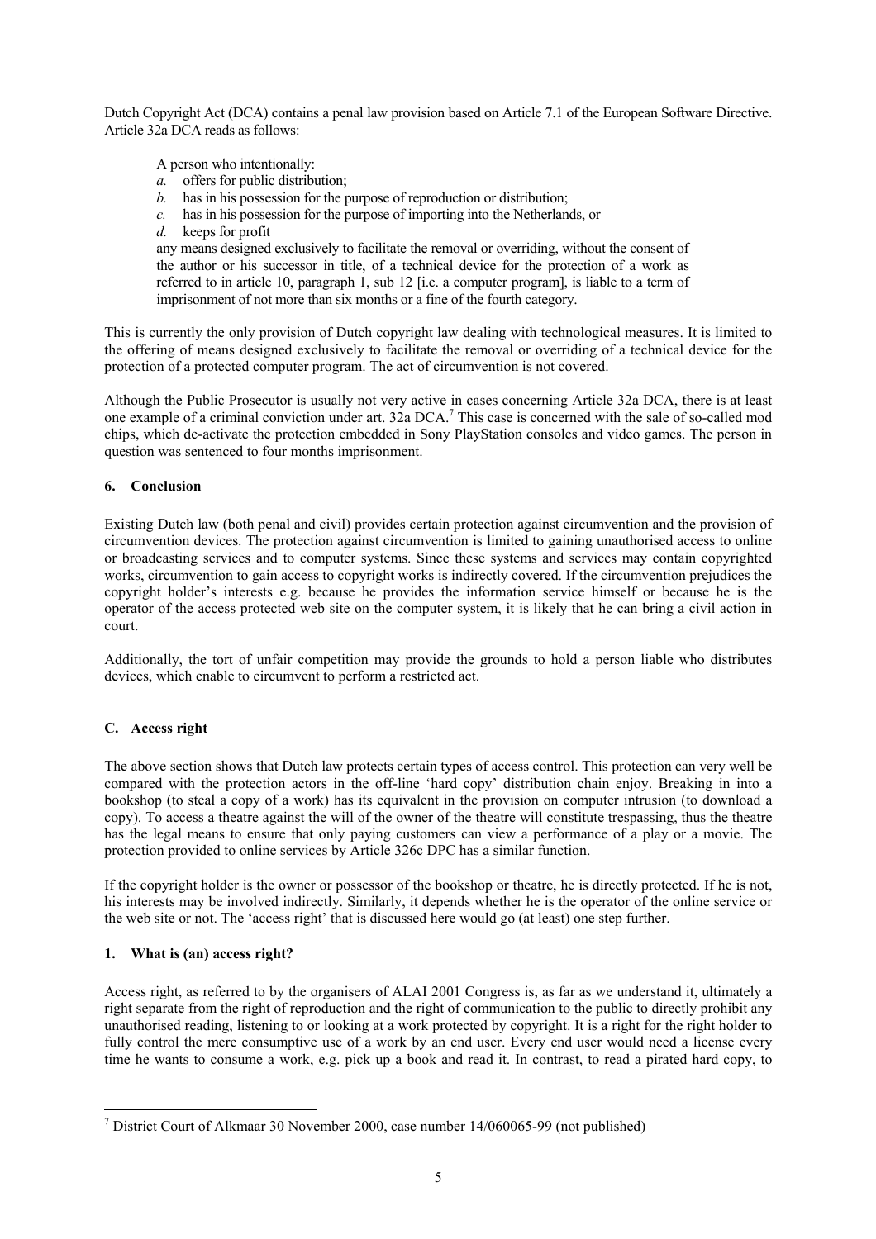<span id="page-4-0"></span>Dutch Copyright Act (DCA) contains a penal law provision based on Article 7.1 of the European Software Directive. Article 32a DCA reads as follows:

A person who intentionally:

- *a.* offers for public distribution;
- *b.* has in his possession for the purpose of reproduction or distribution;
- *c.* has in his possession for the purpose of importing into the Netherlands, or
- *d.* keeps for profit

any means designed exclusively to facilitate the removal or overriding, without the consent of the author or his successor in title, of a technical device for the protection of a work as referred to in article 10, paragraph 1, sub 12 [i.e. a computer program], is liable to a term of imprisonment of not more than six months or a fine of the fourth category.

This is currently the only provision of Dutch copyright law dealing with technological measures. It is limited to the offering of means designed exclusively to facilitate the removal or overriding of a technical device for the protection of a protected computer program. The act of circumvention is not covered.

Although the Public Prosecutor is usually not very active in cases concerning Article 32a DCA, there is at least one example of a criminal conviction under art. 32a DCA.<sup>7</sup> This case is concerned with the sale of so-called mod chips, which de-activate the protection embedded in Sony PlayStation consoles and video games. The person in question was sentenced to four months imprisonment.

## **6. Conclusion**

Existing Dutch law (both penal and civil) provides certain protection against circumvention and the provision of circumvention devices. The protection against circumvention is limited to gaining unauthorised access to online or broadcasting services and to computer systems. Since these systems and services may contain copyrighted works, circumvention to gain access to copyright works is indirectly covered. If the circumvention prejudices the copyright holder's interests e.g. because he provides the information service himself or because he is the operator of the access protected web site on the computer system, it is likely that he can bring a civil action in court.

Additionally, the tort of unfair competition may provide the grounds to hold a person liable who distributes devices, which enable to circumvent to perform a restricted act.

## **C. Access right**

The above section shows that Dutch law protects certain types of access control. This protection can very well be compared with the protection actors in the off-line 'hard copy' distribution chain enjoy. Breaking in into a bookshop (to steal a copy of a work) has its equivalent in the provision on computer intrusion (to download a copy). To access a theatre against the will of the owner of the theatre will constitute trespassing, thus the theatre has the legal means to ensure that only paying customers can view a performance of a play or a movie. The protection provided to online services by Article 326c DPC has a similar function.

If the copyright holder is the owner or possessor of the bookshop or theatre, he is directly protected. If he is not, his interests may be involved indirectly. Similarly, it depends whether he is the operator of the online service or the web site or not. The 'access right' that is discussed here would go (at least) one step further.

## **1. What is (an) access right?**

Access right, as referred to by the organisers of ALAI 2001 Congress is, as far as we understand it, ultimately a right separate from the right of reproduction and the right of communication to the public to directly prohibit any unauthorised reading, listening to or looking at a work protected by copyright. It is a right for the right holder to fully control the mere consumptive use of a work by an end user. Every end user would need a license every time he wants to consume a work, e.g. pick up a book and read it. In contrast, to read a pirated hard copy, to

<span id="page-4-1"></span> $\overline{a}$ <sup>7</sup> District Court of Alkmaar 30 November 2000, case number 14/060065-99 (not published)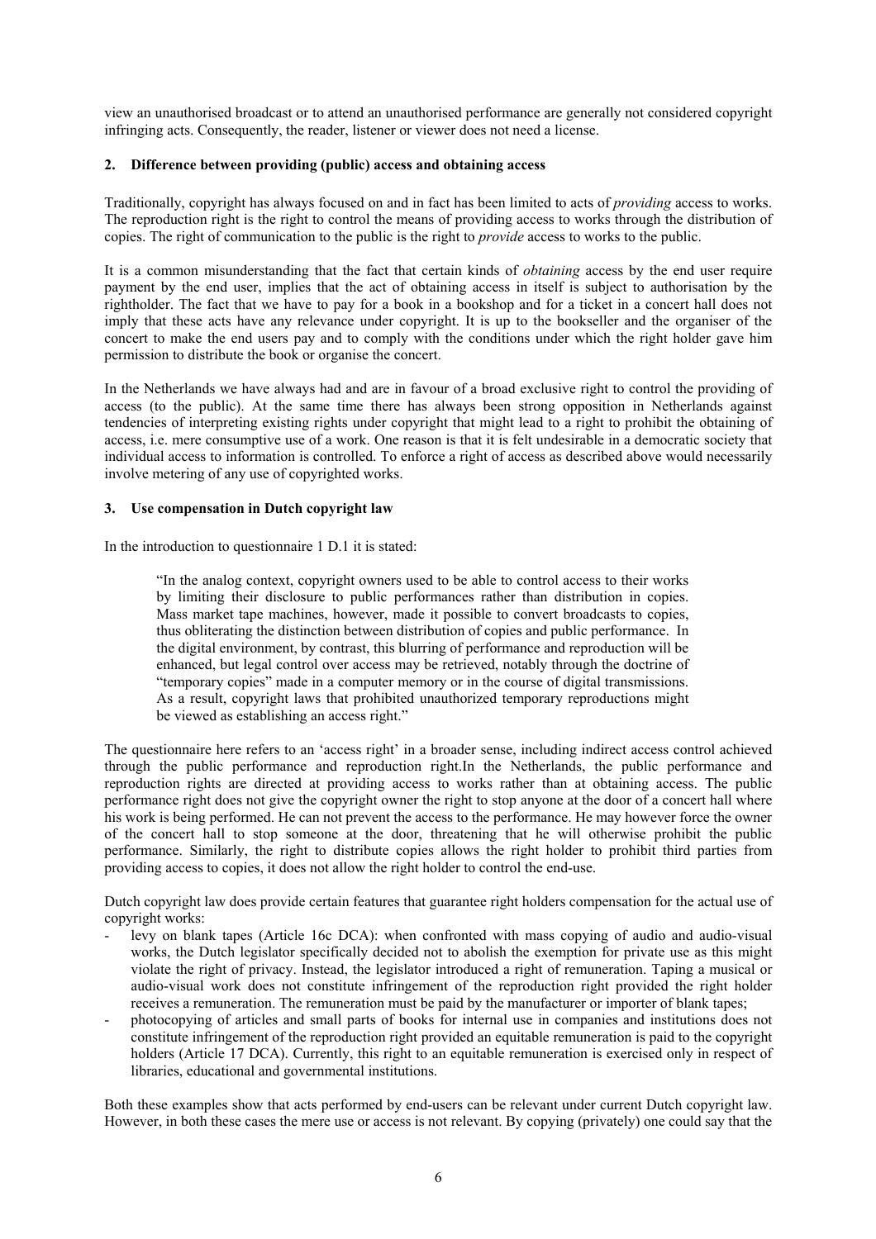<span id="page-5-0"></span>view an unauthorised broadcast or to attend an unauthorised performance are generally not considered copyright infringing acts. Consequently, the reader, listener or viewer does not need a license.

#### **2. Difference between providing (public) access and obtaining access**

Traditionally, copyright has always focused on and in fact has been limited to acts of *providing* access to works. The reproduction right is the right to control the means of providing access to works through the distribution of copies. The right of communication to the public is the right to *provide* access to works to the public.

It is a common misunderstanding that the fact that certain kinds of *obtaining* access by the end user require payment by the end user, implies that the act of obtaining access in itself is subject to authorisation by the rightholder. The fact that we have to pay for a book in a bookshop and for a ticket in a concert hall does not imply that these acts have any relevance under copyright. It is up to the bookseller and the organiser of the concert to make the end users pay and to comply with the conditions under which the right holder gave him permission to distribute the book or organise the concert.

In the Netherlands we have always had and are in favour of a broad exclusive right to control the providing of access (to the public). At the same time there has always been strong opposition in Netherlands against tendencies of interpreting existing rights under copyright that might lead to a right to prohibit the obtaining of access, i.e. mere consumptive use of a work. One reason is that it is felt undesirable in a democratic society that individual access to information is controlled. To enforce a right of access as described above would necessarily involve metering of any use of copyrighted works.

#### **3. Use compensation in Dutch copyright law**

In the introduction to questionnaire 1 D.1 it is stated:

"In the analog context, copyright owners used to be able to control access to their works by limiting their disclosure to public performances rather than distribution in copies. Mass market tape machines, however, made it possible to convert broadcasts to copies, thus obliterating the distinction between distribution of copies and public performance. In the digital environment, by contrast, this blurring of performance and reproduction will be enhanced, but legal control over access may be retrieved, notably through the doctrine of "temporary copies" made in a computer memory or in the course of digital transmissions. As a result, copyright laws that prohibited unauthorized temporary reproductions might be viewed as establishing an access right."

The questionnaire here refers to an 'access right' in a broader sense, including indirect access control achieved through the public performance and reproduction right.In the Netherlands, the public performance and reproduction rights are directed at providing access to works rather than at obtaining access. The public performance right does not give the copyright owner the right to stop anyone at the door of a concert hall where his work is being performed. He can not prevent the access to the performance. He may however force the owner of the concert hall to stop someone at the door, threatening that he will otherwise prohibit the public performance. Similarly, the right to distribute copies allows the right holder to prohibit third parties from providing access to copies, it does not allow the right holder to control the end-use.

Dutch copyright law does provide certain features that guarantee right holders compensation for the actual use of copyright works:

- levy on blank tapes (Article 16c DCA): when confronted with mass copying of audio and audio-visual works, the Dutch legislator specifically decided not to abolish the exemption for private use as this might violate the right of privacy. Instead, the legislator introduced a right of remuneration. Taping a musical or audio-visual work does not constitute infringement of the reproduction right provided the right holder receives a remuneration. The remuneration must be paid by the manufacturer or importer of blank tapes;
- photocopying of articles and small parts of books for internal use in companies and institutions does not constitute infringement of the reproduction right provided an equitable remuneration is paid to the copyright holders (Article 17 DCA). Currently, this right to an equitable remuneration is exercised only in respect of libraries, educational and governmental institutions.

Both these examples show that acts performed by end-users can be relevant under current Dutch copyright law. However, in both these cases the mere use or access is not relevant. By copying (privately) one could say that the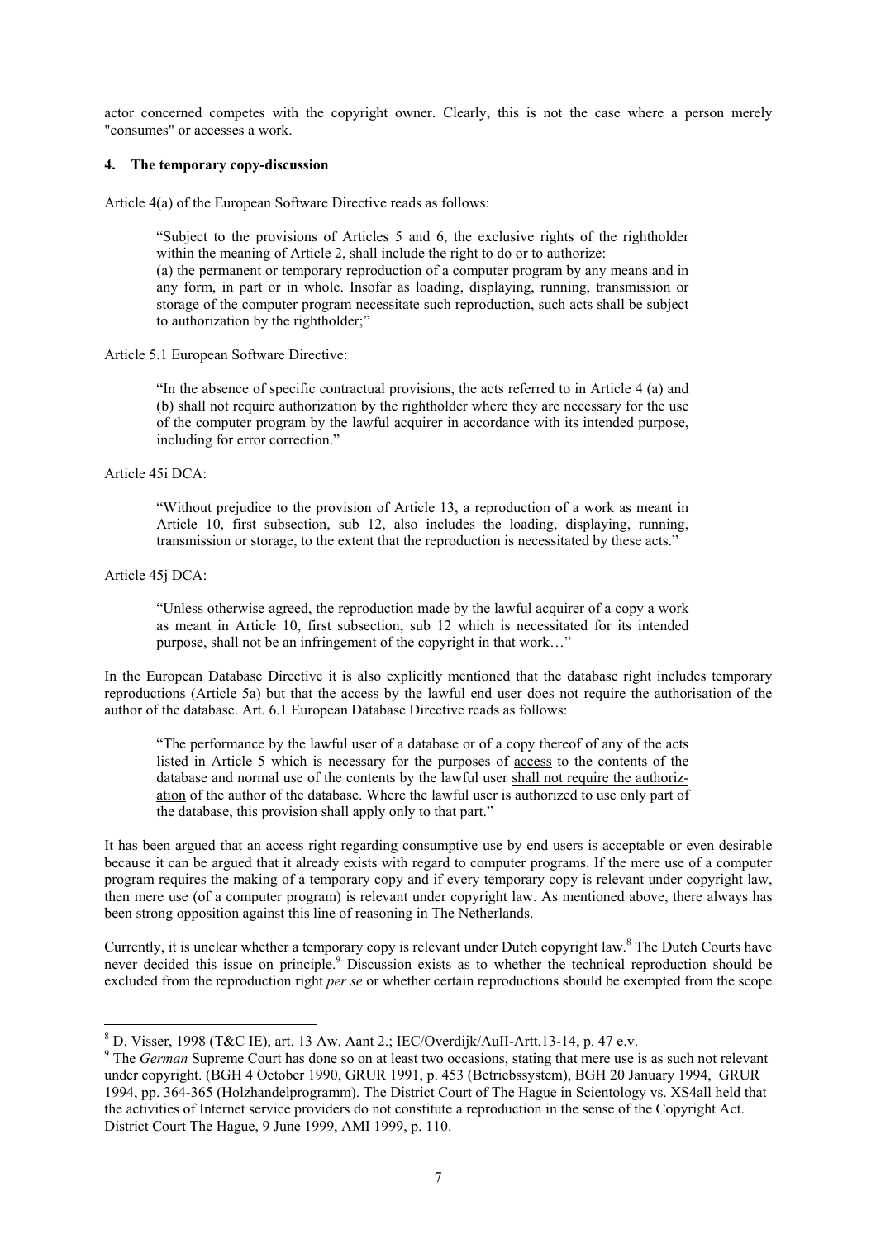<span id="page-6-0"></span>actor concerned competes with the copyright owner. Clearly, this is not the case where a person merely "consumes" or accesses a work.

#### **4. The temporary copy-discussion**

Article 4(a) of the European Software Directive reads as follows:

"Subject to the provisions of Articles 5 and 6, the exclusive rights of the rightholder within the meaning of Article 2, shall include the right to do or to authorize:

(a) the permanent or temporary reproduction of a computer program by any means and in any form, in part or in whole. Insofar as loading, displaying, running, transmission or storage of the computer program necessitate such reproduction, such acts shall be subject to authorization by the rightholder;"

#### Article 5.1 European Software Directive:

"In the absence of specific contractual provisions, the acts referred to in Article 4 (a) and (b) shall not require authorization by the rightholder where they are necessary for the use of the computer program by the lawful acquirer in accordance with its intended purpose, including for error correction."

## Article 45i DCA:

"Without prejudice to the provision of Article 13, a reproduction of a work as meant in Article 10, first subsection, sub 12, also includes the loading, displaying, running, transmission or storage, to the extent that the reproduction is necessitated by these acts."

#### Article 45j DCA:

 $\overline{a}$ 

"Unless otherwise agreed, the reproduction made by the lawful acquirer of a copy a work as meant in Article 10, first subsection, sub 12 which is necessitated for its intended purpose, shall not be an infringement of the copyright in that work…"

In the European Database Directive it is also explicitly mentioned that the database right includes temporary reproductions (Article 5a) but that the access by the lawful end user does not require the authorisation of the author of the database. Art. 6.1 European Database Directive reads as follows:

"The performance by the lawful user of a database or of a copy thereof of any of the acts listed in Article 5 which is necessary for the purposes of access to the contents of the database and normal use of the contents by the lawful user shall not require the authorization of the author of the database. Where the lawful user is authorized to use only part of the database, this provision shall apply only to that part."

It has been argued that an access right regarding consumptive use by end users is acceptable or even desirable because it can be argued that it already exists with regard to computer programs. If the mere use of a computer program requires the making of a temporary copy and if every temporary copy is relevant under copyright law, then mere use (of a computer program) is relevant under copyright law. As mentioned above, there always has been strong opposition against this line of reasoning in The Netherlands.

Currently, it is unclear whether a temporary copy is relevant under Dutch copyright law.[8](#page-6-1) The Dutch Courts have neverdecided this issue on principle.<sup>9</sup> Discussion exists as to whether the technical reproduction should be excluded from the reproduction right *per se* or whether certain reproductions should be exempted from the scope

<span id="page-6-1"></span><sup>&</sup>lt;sup>8</sup> D. Visser, 1998 (T&C IE), art. 13 Aw. Aant 2.; IEC/Overdijk/AuII-Artt.13-14, p. 47 e.v.

<span id="page-6-2"></span><sup>&</sup>lt;sup>9</sup> The *German* Supreme Court has done so on at least two occasions, stating that mere use is as such not relevant under copyright. (BGH 4 October 1990, GRUR 1991, p. 453 (Betriebssystem), BGH 20 January 1994, GRUR 1994, pp. 364-365 (Holzhandelprogramm). The District Court of The Hague in Scientology vs. XS4all held that the activities of Internet service providers do not constitute a reproduction in the sense of the Copyright Act. District Court The Hague, 9 June 1999, AMI 1999, p. 110.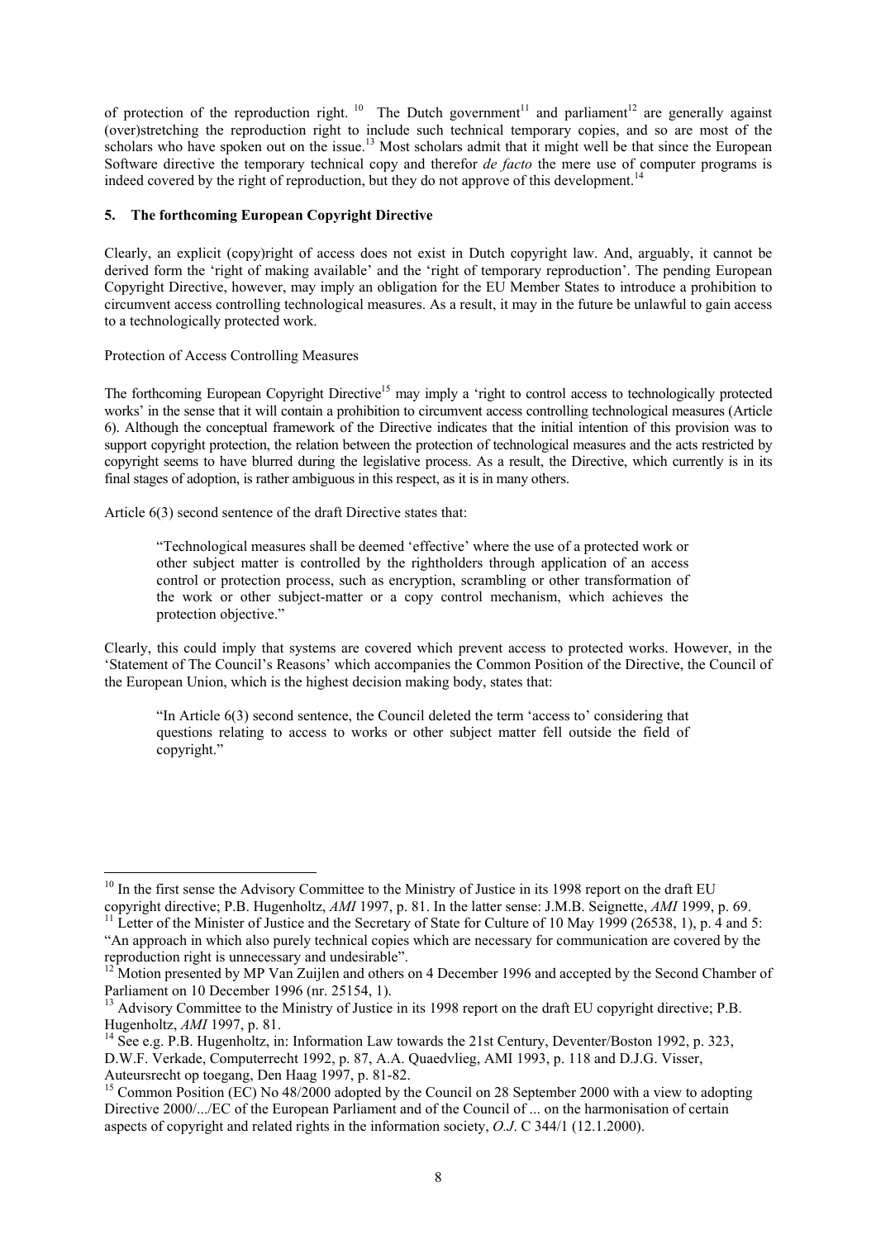<span id="page-7-0"></span>of protection of the reproduction right. <sup>10</sup> The Dutch government<sup>11</sup> and parliament<sup>12</sup> are generally against (over)stretching the reproduction right to include such technical temporary copies, and so are most of the scholars who have spoken out on the issue.<sup>13</sup> Most scholars admit that it might well be that since the European Software directive the temporary technical copy and therefor *de facto* the mere use of computer programs is indeed covered by the right of reproduction, but they do not approve of this development.<sup>14</sup>

# **5. The forthcoming European Copyright Directive**

Clearly, an explicit (copy)right of access does not exist in Dutch copyright law. And, arguably, it cannot be derived form the 'right of making available' and the 'right of temporary reproduction'. The pending European Copyright Directive, however, may imply an obligation for the EU Member States to introduce a prohibition to circumvent access controlling technological measures. As a result, it may in the future be unlawful to gain access to a technologically protected work.

## Protection of Access Controlling Measures

 $\overline{a}$ 

The forthcoming European Copyright Directive<sup>15</sup> may imply a 'right to control access to technologically protected works' in the sense that it will contain a prohibition to circumvent access controlling technological measures (Article 6). Although the conceptual framework of the Directive indicates that the initial intention of this provision was to support copyright protection, the relation between the protection of technological measures and the acts restricted by copyright seems to have blurred during the legislative process. As a result, the Directive, which currently is in its final stages of adoption, is rather ambiguous in this respect, as it is in many others.

Article 6(3) second sentence of the draft Directive states that:

"Technological measures shall be deemed 'effective' where the use of a protected work or other subject matter is controlled by the rightholders through application of an access control or protection process, such as encryption, scrambling or other transformation of the work or other subject-matter or a copy control mechanism, which achieves the protection objective."

Clearly, this could imply that systems are covered which prevent access to protected works. However, in the 'Statement of The Council's Reasons' which accompanies the Common Position of the Directive, the Council of the European Union, which is the highest decision making body, states that:

"In Article 6(3) second sentence, the Council deleted the term 'access to' considering that questions relating to access to works or other subject matter fell outside the field of copyright."

<span id="page-7-1"></span> $10$  In the first sense the Advisory Committee to the Ministry of Justice in its 1998 report on the draft EU copyright directive; P.B. Hugenholtz, AMI 1997, p. 81. In the latter sense: J.M.B. Seignette, AMI 1999, p. 69.<br><sup>11</sup> Letter of the Minister of Justice and the Secretary of State for Culture of 10 May 1999 (26538, 1), p. 4

<span id="page-7-2"></span><sup>&</sup>quot;An approach in which also purely technical copies which are necessary for communication are covered by the reproduction right is unnecessary and undesirable".

<span id="page-7-3"></span> $12$ <sup>12</sup> Motion presented by MP Van Zuijlen and others on 4 December 1996 and accepted by the Second Chamber of Parliament on 10 December 1996 (nr. 25154, 1).<br><sup>13</sup> Advisory Committee to the Ministry of Justice in its 1998 report on the draft EU copyright directive; P.B.

<span id="page-7-4"></span>

<span id="page-7-5"></span>Hugenholtz, *AMI* 1997, p. 81.<br><sup>14</sup> See e.g. P.B. Hugenholtz, in: Information Law towards the 21st Century, Deventer/Boston 1992, p. 323, D.W.F. Verkade, Computerrecht 1992, p. 87, A.A. Quaedvlieg, AMI 1993, p. 118 and D.J.G. Visser,

<span id="page-7-6"></span>Auteursrecht op toegang, Den Haag 1997, p. 81-82.<br><sup>15</sup> Common Position (EC) No 48/2000 adopted by the Council on 28 September 2000 with a view to adopting Directive 2000/.../EC of the European Parliament and of the Council of ... on the harmonisation of certain aspects of copyright and related rights in the information society, *O.J*. C 344/1 (12.1.2000).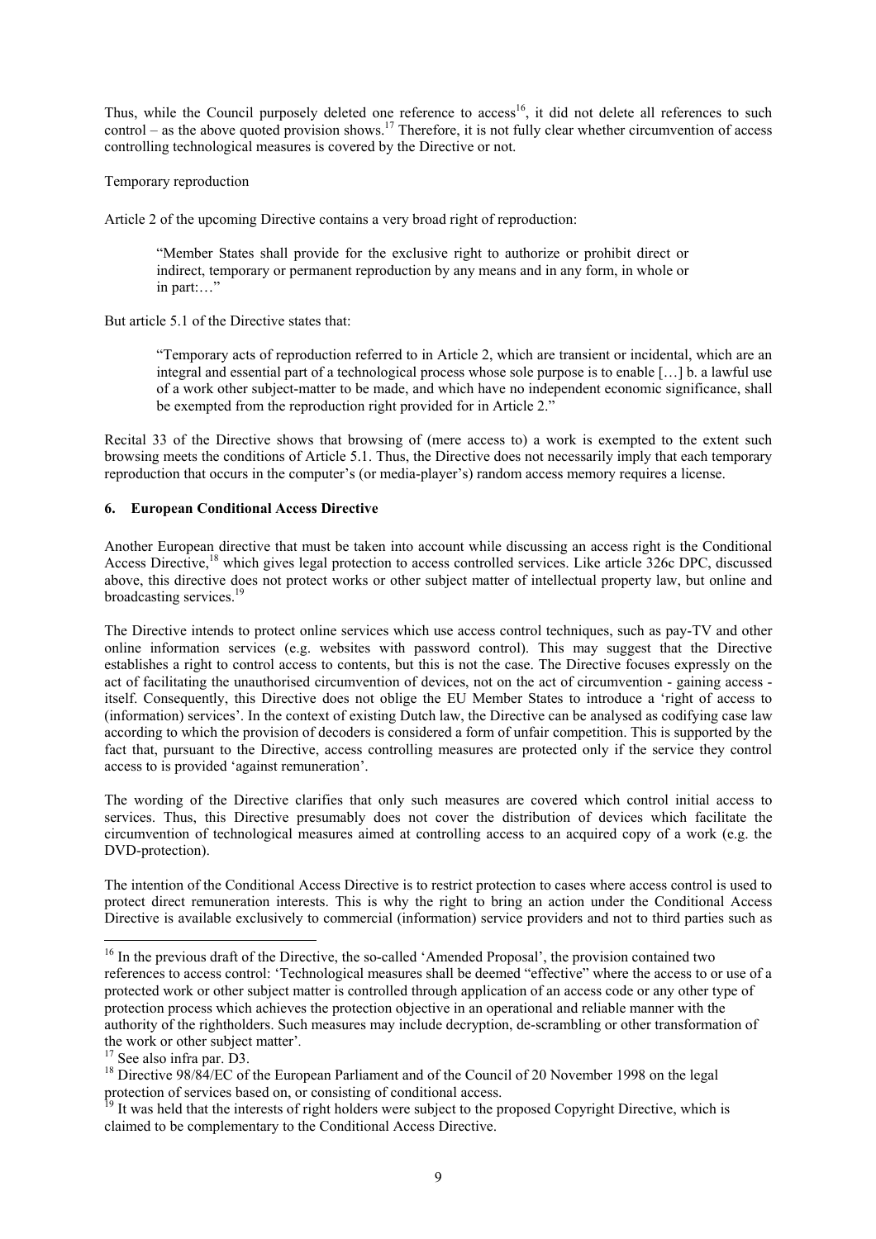<span id="page-8-0"></span>Thus, while the Council purposely deleted one reference to access<sup>16</sup>, it did not delete all references to such control – as the above quoted provision shows.<sup>[17](#page-8-2)</sup> Therefore, it is not fully clear whether circumvention of access controlling technological measures is covered by the Directive or not.

Temporary reproduction

Article 2 of the upcoming Directive contains a very broad right of reproduction:

"Member States shall provide for the exclusive right to authorize or prohibit direct or indirect, temporary or permanent reproduction by any means and in any form, in whole or in part:…"

But article 5.1 of the Directive states that:

"Temporary acts of reproduction referred to in Article 2, which are transient or incidental, which are an integral and essential part of a technological process whose sole purpose is to enable […] b. a lawful use of a work other subject-matter to be made, and which have no independent economic significance, shall be exempted from the reproduction right provided for in Article 2."

Recital 33 of the Directive shows that browsing of (mere access to) a work is exempted to the extent such browsing meets the conditions of Article 5.1. Thus, the Directive does not necessarily imply that each temporary reproduction that occurs in the computer's (or media-player's) random access memory requires a license.

### **6. European Conditional Access Directive**

Another European directive that must be taken into account while discussing an access right is the Conditional Access Directive,<sup>18</sup> which gives legal protection to access controlled services. Like article 326c DPC, discussed above, this directive does not protect works or other subject matter of intellectual property law, but online and broadcasting services.<sup>19</sup>

The Directive intends to protect online services which use access control techniques, such as pay-TV and other online information services (e.g. websites with password control). This may suggest that the Directive establishes a right to control access to contents, but this is not the case. The Directive focuses expressly on the act of facilitating the unauthorised circumvention of devices, not on the act of circumvention - gaining access itself. Consequently, this Directive does not oblige the EU Member States to introduce a 'right of access to (information) services'. In the context of existing Dutch law, the Directive can be analysed as codifying case law according to which the provision of decoders is considered a form of unfair competition. This is supported by the fact that, pursuant to the Directive, access controlling measures are protected only if the service they control access to is provided 'against remuneration'.

The wording of the Directive clarifies that only such measures are covered which control initial access to services. Thus, this Directive presumably does not cover the distribution of devices which facilitate the circumvention of technological measures aimed at controlling access to an acquired copy of a work (e.g. the DVD-protection).

The intention of the Conditional Access Directive is to restrict protection to cases where access control is used to protect direct remuneration interests. This is why the right to bring an action under the Conditional Access Directive is available exclusively to commercial (information) service providers and not to third parties such as

 $\overline{a}$ 

<span id="page-8-1"></span><sup>&</sup>lt;sup>16</sup> In the previous draft of the Directive, the so-called 'Amended Proposal', the provision contained two references to access control: 'Technological measures shall be deemed "effective" where the access to or use of a protected work or other subject matter is controlled through application of an access code or any other type of protection process which achieves the protection objective in an operational and reliable manner with the authority of the rightholders. Such measures may include decryption, de-scrambling or other transformation of the work or other subject matter'*.* 17 See also infra par. D3.

<span id="page-8-2"></span>

<span id="page-8-3"></span><sup>&</sup>lt;sup>18</sup> Directive 98/84/EC of the European Parliament and of the Council of 20 November 1998 on the legal protection of services based on, or consisting of conditional access.

<span id="page-8-4"></span><sup>&</sup>lt;sup>19</sup> It was held that the interests of right holders were subject to the proposed Copyright Directive, which is claimed to be complementary to the Conditional Access Directive.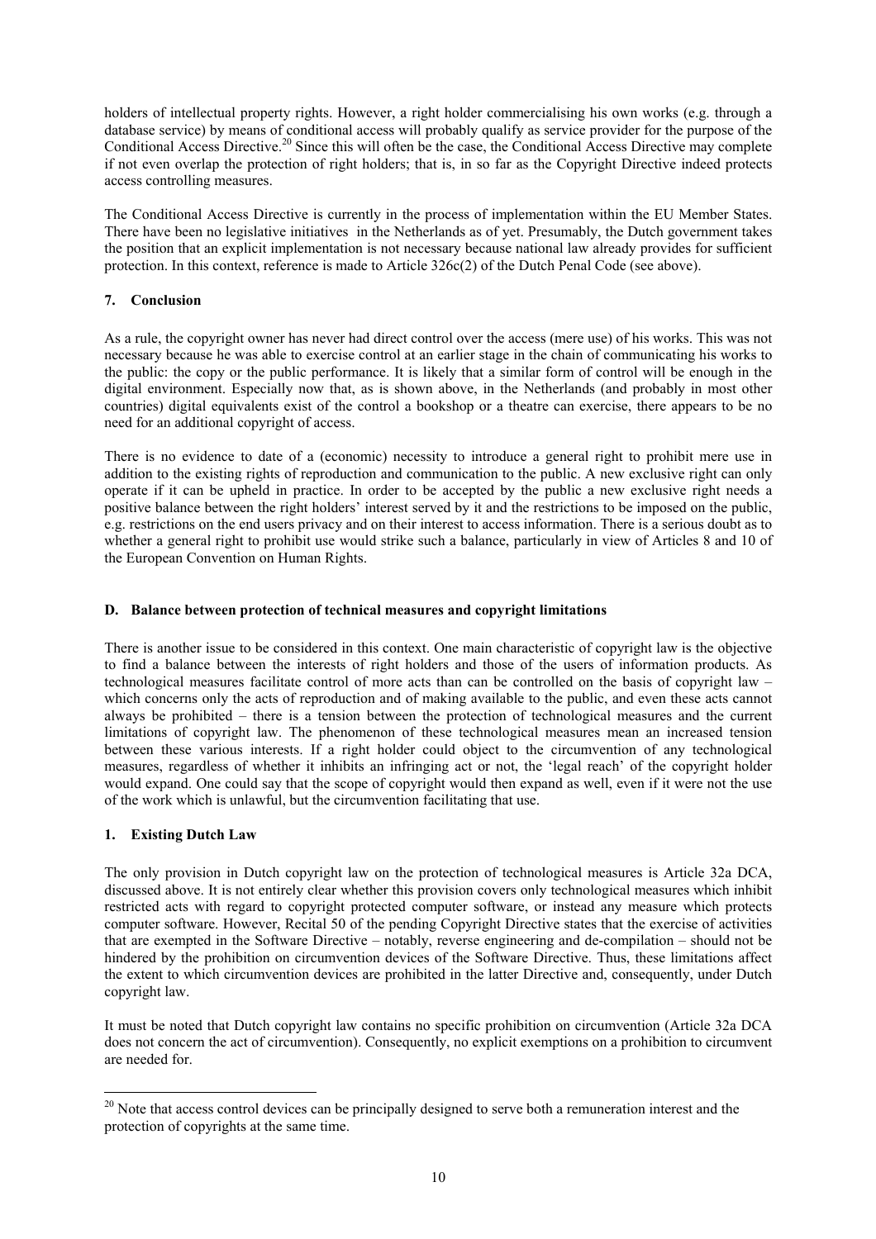<span id="page-9-0"></span>holders of intellectual property rights. However, a right holder commercialising his own works (e.g. through a database service) by means of conditional access will probably qualify as service provider for the purpose of the Conditional Access Directive.<sup>20</sup> Since this will often be the case, the Conditional Access Directive may complete if not even overlap the protection of right holders; that is, in so far as the Copyright Directive indeed protects access controlling measures.

The Conditional Access Directive is currently in the process of implementation within the EU Member States. There have been no legislative initiatives in the Netherlands as of yet. Presumably, the Dutch government takes the position that an explicit implementation is not necessary because national law already provides for sufficient protection. In this context, reference is made to Article 326c(2) of the Dutch Penal Code (see above).

# **7. Conclusion**

As a rule, the copyright owner has never had direct control over the access (mere use) of his works. This was not necessary because he was able to exercise control at an earlier stage in the chain of communicating his works to the public: the copy or the public performance. It is likely that a similar form of control will be enough in the digital environment. Especially now that, as is shown above, in the Netherlands (and probably in most other countries) digital equivalents exist of the control a bookshop or a theatre can exercise, there appears to be no need for an additional copyright of access.

There is no evidence to date of a (economic) necessity to introduce a general right to prohibit mere use in addition to the existing rights of reproduction and communication to the public. A new exclusive right can only operate if it can be upheld in practice. In order to be accepted by the public a new exclusive right needs a positive balance between the right holders' interest served by it and the restrictions to be imposed on the public, e.g. restrictions on the end users privacy and on their interest to access information. There is a serious doubt as to whether a general right to prohibit use would strike such a balance, particularly in view of Articles 8 and 10 of the European Convention on Human Rights.

## **D. Balance between protection of technical measures and copyright limitations**

There is another issue to be considered in this context. One main characteristic of copyright law is the objective to find a balance between the interests of right holders and those of the users of information products. As technological measures facilitate control of more acts than can be controlled on the basis of copyright law – which concerns only the acts of reproduction and of making available to the public, and even these acts cannot always be prohibited – there is a tension between the protection of technological measures and the current limitations of copyright law. The phenomenon of these technological measures mean an increased tension between these various interests. If a right holder could object to the circumvention of any technological measures, regardless of whether it inhibits an infringing act or not, the 'legal reach' of the copyright holder would expand. One could say that the scope of copyright would then expand as well, even if it were not the use of the work which is unlawful, but the circumvention facilitating that use.

## **1. Existing Dutch Law**

 $\overline{a}$ 

The only provision in Dutch copyright law on the protection of technological measures is Article 32a DCA, discussed above. It is not entirely clear whether this provision covers only technological measures which inhibit restricted acts with regard to copyright protected computer software, or instead any measure which protects computer software. However, Recital 50 of the pending Copyright Directive states that the exercise of activities that are exempted in the Software Directive – notably, reverse engineering and de-compilation – should not be hindered by the prohibition on circumvention devices of the Software Directive. Thus, these limitations affect the extent to which circumvention devices are prohibited in the latter Directive and, consequently, under Dutch copyright law.

It must be noted that Dutch copyright law contains no specific prohibition on circumvention (Article 32a DCA does not concern the act of circumvention). Consequently, no explicit exemptions on a prohibition to circumvent are needed for.

<span id="page-9-1"></span><sup>&</sup>lt;sup>20</sup> Note that access control devices can be principally designed to serve both a remuneration interest and the protection of copyrights at the same time.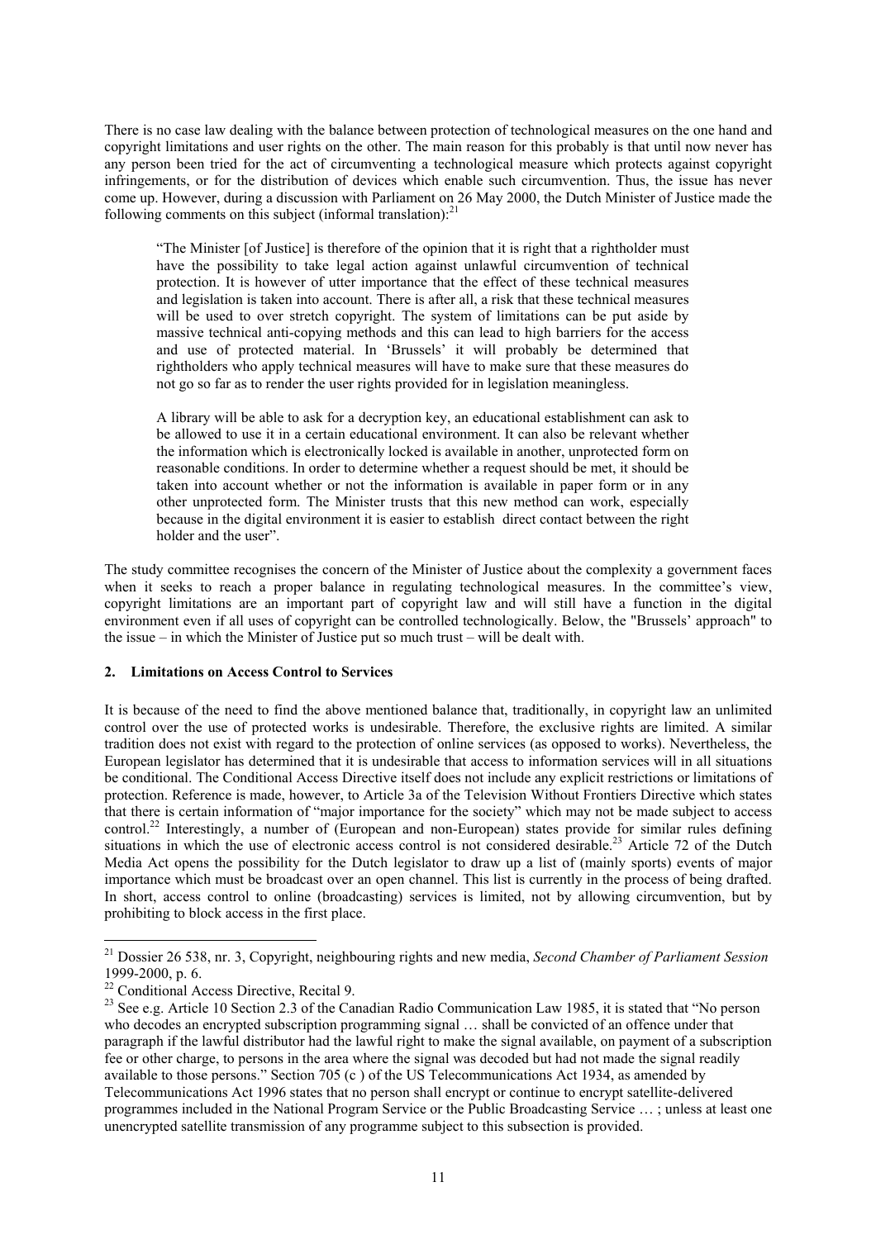<span id="page-10-0"></span>There is no case law dealing with the balance between protection of technological measures on the one hand and copyright limitations and user rights on the other. The main reason for this probably is that until now never has any person been tried for the act of circumventing a technological measure which protects against copyright infringements, or for the distribution of devices which enable such circumvention. Thus, the issue has never come up. However, during a discussion with Parliament on 26 May 2000, the Dutch Minister of Justice made the following comments on this subject (informal translation): $^{21}$  $^{21}$  $^{21}$ 

"The Minister [of Justice] is therefore of the opinion that it is right that a rightholder must have the possibility to take legal action against unlawful circumvention of technical protection. It is however of utter importance that the effect of these technical measures and legislation is taken into account. There is after all, a risk that these technical measures will be used to over stretch copyright. The system of limitations can be put aside by massive technical anti-copying methods and this can lead to high barriers for the access and use of protected material. In 'Brussels' it will probably be determined that rightholders who apply technical measures will have to make sure that these measures do not go so far as to render the user rights provided for in legislation meaningless.

A library will be able to ask for a decryption key, an educational establishment can ask to be allowed to use it in a certain educational environment. It can also be relevant whether the information which is electronically locked is available in another, unprotected form on reasonable conditions. In order to determine whether a request should be met, it should be taken into account whether or not the information is available in paper form or in any other unprotected form. The Minister trusts that this new method can work, especially because in the digital environment it is easier to establish direct contact between the right holder and the user".

The study committee recognises the concern of the Minister of Justice about the complexity a government faces when it seeks to reach a proper balance in regulating technological measures. In the committee's view, copyright limitations are an important part of copyright law and will still have a function in the digital environment even if all uses of copyright can be controlled technologically. Below, the "Brussels' approach" to the issue – in which the Minister of Justice put so much trust – will be dealt with.

## **2. Limitations on Access Control to Services**

It is because of the need to find the above mentioned balance that, traditionally, in copyright law an unlimited control over the use of protected works is undesirable. Therefore, the exclusive rights are limited. A similar tradition does not exist with regard to the protection of online services (as opposed to works). Nevertheless, the European legislator has determined that it is undesirable that access to information services will in all situations be conditional. The Conditional Access Directive itself does not include any explicit restrictions or limitations of protection. Reference is made, however, to Article 3a of the Television Without Frontiers Directive which states that there is certain information of "major importance for the society" which may not be made subject to access control.<sup>22</sup> Interestingly, a number of (European and non-European) states provide for similar rules defining situations in which the use of electronic access control is not considered desirable.<sup>[23](#page-10-3)</sup> Article 72 of the Dutch Media Act opens the possibility for the Dutch legislator to draw up a list of (mainly sports) events of major importance which must be broadcast over an open channel. This list is currently in the process of being drafted. In short, access control to online (broadcasting) services is limited, not by allowing circumvention, but by prohibiting to block access in the first place.

 $\overline{a}$ 

<span id="page-10-1"></span><sup>21</sup> Dossier 26 538, nr. 3, Copyright, neighbouring rights and new media, *Second Chamber of Parliament Session* 1999-2000, p. 6.<br><sup>22</sup> Conditional Access Directive, Recital 9.

<span id="page-10-2"></span>

<span id="page-10-3"></span><sup>&</sup>lt;sup>23</sup> See e.g. Article 10 Section 2.3 of the Canadian Radio Communication Law 1985, it is stated that "No person" who decodes an encrypted subscription programming signal ... shall be convicted of an offence under that paragraph if the lawful distributor had the lawful right to make the signal available, on payment of a subscription fee or other charge, to persons in the area where the signal was decoded but had not made the signal readily available to those persons." Section 705 (c ) of the US Telecommunications Act 1934, as amended by Telecommunications Act 1996 states that no person shall encrypt or continue to encrypt satellite-delivered programmes included in the National Program Service or the Public Broadcasting Service … ; unless at least one unencrypted satellite transmission of any programme subject to this subsection is provided.